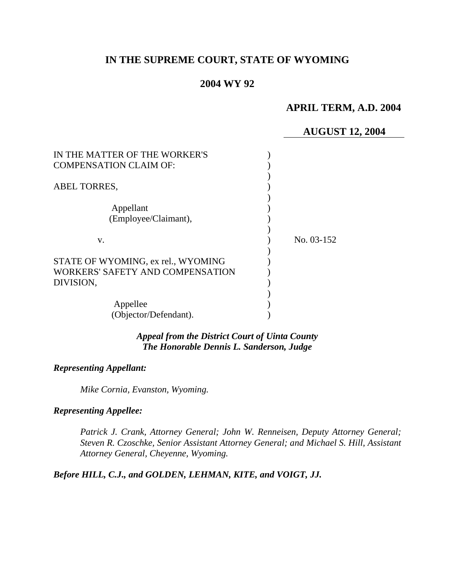# **IN THE SUPREME COURT, STATE OF WYOMING**

### **2004 WY 92**

### **APRIL TERM, A.D. 2004**

### **AUGUST 12, 2004**

| IN THE MATTER OF THE WORKER'S<br><b>COMPENSATION CLAIM OF:</b>         |            |
|------------------------------------------------------------------------|------------|
| ABEL TORRES,                                                           |            |
| Appellant                                                              |            |
| (Employee/Claimant),                                                   |            |
| v.                                                                     | No. 03-152 |
| STATE OF WYOMING, ex rel., WYOMING<br>WORKERS' SAFETY AND COMPENSATION |            |
| DIVISION,                                                              |            |
| Appellee                                                               |            |
| (Objector/Defendant).                                                  |            |

*Appeal from the District Court of Uinta County The Honorable Dennis L. Sanderson, Judge* 

#### *Representing Appellant:*

*Mike Cornia, Evanston, Wyoming.* 

## *Representing Appellee:*

*Patrick J. Crank, Attorney General; John W. Renneisen, Deputy Attorney General; Steven R. Czoschke, Senior Assistant Attorney General; and Michael S. Hill, Assistant Attorney General, Cheyenne, Wyoming.* 

#### *Before HILL, C.J., and GOLDEN, LEHMAN, KITE, and VOIGT, JJ.*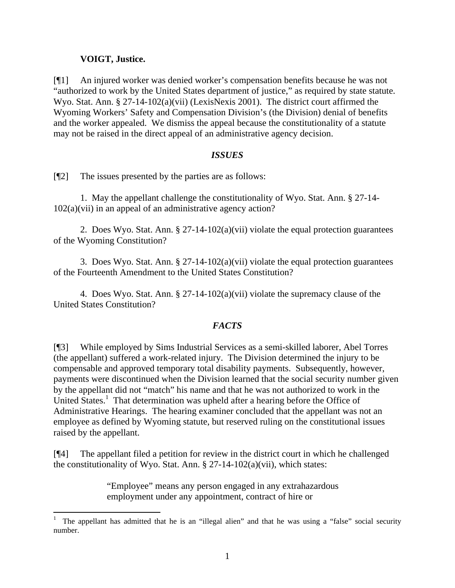### **VOIGT, Justice.**

 $\overline{a}$ 

[¶1] An injured worker was denied worker's compensation benefits because he was not "authorized to work by the United States department of justice," as required by state statute. Wyo. Stat. Ann. § 27-14-102(a)(vii) (LexisNexis 2001). The district court affirmed the Wyoming Workers' Safety and Compensation Division's (the Division) denial of benefits and the worker appealed. We dismiss the appeal because the constitutionality of a statute may not be raised in the direct appeal of an administrative agency decision.

#### *ISSUES*

[¶2] The issues presented by the parties are as follows:

1. May the appellant challenge the constitutionality of Wyo. Stat. Ann. § 27-14- 102(a)(vii) in an appeal of an administrative agency action?

2. Does Wyo. Stat. Ann. § 27-14-102(a)(vii) violate the equal protection guarantees of the Wyoming Constitution?

3. Does Wyo. Stat. Ann. § 27-14-102(a)(vii) violate the equal protection guarantees of the Fourteenth Amendment to the United States Constitution?

4. Does Wyo. Stat. Ann. § 27-14-102(a)(vii) violate the supremacy clause of the United States Constitution?

### *FACTS*

[¶3] While employed by Sims Industrial Services as a semi-skilled laborer, Abel Torres (the appellant) suffered a work-related injury. The Division determined the injury to be compensable and approved temporary total disability payments. Subsequently, however, payments were discontinued when the Division learned that the social security number given by the appellant did not "match" his name and that he was not authorized to work in the United States.<sup>1</sup> That determination was upheld after a hearing before the Office of Administrative Hearings. The hearing examiner concluded that the appellant was not an employee as defined by Wyoming statute, but reserved ruling on the constitutional issues raised by the appellant.

[¶4] The appellant filed a petition for review in the district court in which he challenged the constitutionality of Wyo. Stat. Ann.  $\S 27-14-102(a)(vii)$ , which states:

> "Employee" means any person engaged in any extrahazardous employment under any appointment, contract of hire or

<sup>1</sup> The appellant has admitted that he is an "illegal alien" and that he was using a "false" social security number.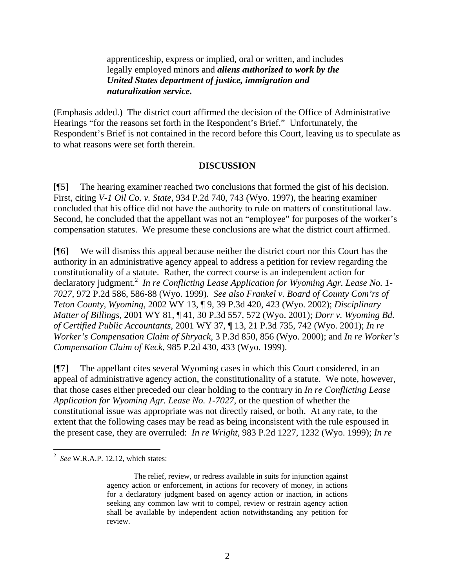apprenticeship, express or implied, oral or written, and includes legally employed minors and *aliens authorized to work by the United States department of justice, immigration and naturalization service.*

(Emphasis added.) The district court affirmed the decision of the Office of Administrative Hearings "for the reasons set forth in the Respondent's Brief." Unfortunately, the Respondent's Brief is not contained in the record before this Court, leaving us to speculate as to what reasons were set forth therein.

#### **DISCUSSION**

[¶5] The hearing examiner reached two conclusions that formed the gist of his decision. First, citing *V-1 Oil Co. v. State,* 934 P.2d 740, 743 (Wyo. 1997), the hearing examiner concluded that his office did not have the authority to rule on matters of constitutional law. Second, he concluded that the appellant was not an "employee" for purposes of the worker's compensation statutes. We presume these conclusions are what the district court affirmed.

[¶6] We will dismiss this appeal because neither the district court nor this Court has the authority in an administrative agency appeal to address a petition for review regarding the constitutionality of a statute. Rather, the correct course is an independent action for declaratory judgment.<sup>2</sup> In re Conflicting Lease Application for Wyoming Agr. Lease No. 1-*7027,* 972 P.2d 586, 586-88 (Wyo. 1999). *See also Frankel v. Board of County Com'rs of Teton County, Wyoming,* 2002 WY 13, ¶ 9, 39 P.3d 420, 423 (Wyo. 2002); *Disciplinary Matter of Billings,* 2001 WY 81, ¶ 41, 30 P.3d 557, 572 (Wyo. 2001); *Dorr v. Wyoming Bd. of Certified Public Accountants,* 2001 WY 37, ¶ 13, 21 P.3d 735, 742 (Wyo. 2001); *In re Worker's Compensation Claim of Shryack,* 3 P.3d 850, 856 (Wyo. 2000); and *In re Worker's Compensation Claim of Keck,* 985 P.2d 430, 433 (Wyo. 1999).

[¶7] The appellant cites several Wyoming cases in which this Court considered, in an appeal of administrative agency action, the constitutionality of a statute. We note, however, that those cases either preceded our clear holding to the contrary in *In re Conflicting Lease Application for Wyoming Agr. Lease No. 1-7027*, or the question of whether the constitutional issue was appropriate was not directly raised, or both. At any rate, to the extent that the following cases may be read as being inconsistent with the rule espoused in the present case, they are overruled: *In re Wright,* 983 P.2d 1227, 1232 (Wyo. 1999); *In re*

 $\overline{a}$ 

<sup>2</sup> *See* W.R.A.P. 12.12, which states:

The relief, review, or redress available in suits for injunction against agency action or enforcement, in actions for recovery of money, in actions for a declaratory judgment based on agency action or inaction, in actions seeking any common law writ to compel, review or restrain agency action shall be available by independent action notwithstanding any petition for review.